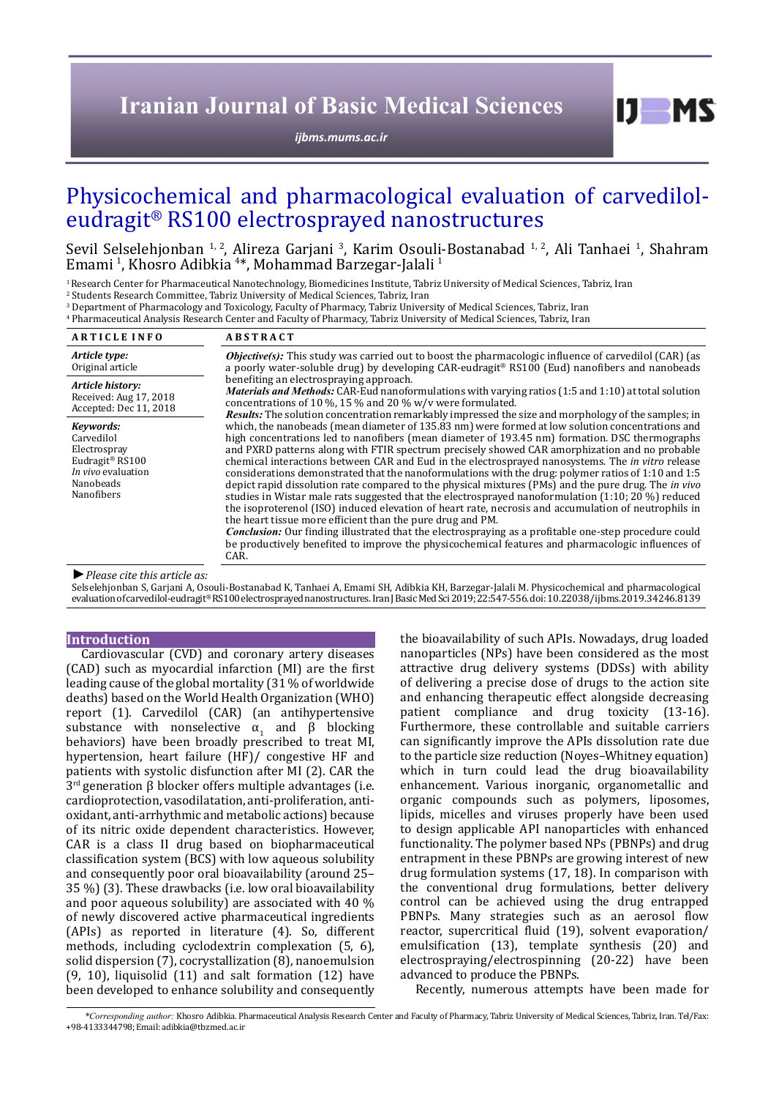# **Iranian Journal of Basic Medical Sciences**

*[ijbms.mums.ac.ir](http://ijbms.mums.ac.ir)*

# Physicochemical and pharmacological evaluation of carvediloleudragit® RS100 electrosprayed nanostructures

Sevil Selselehjonban <sup>1, 2</sup>, Alireza Garjani <sup>3</sup>, Karim Osouli-Bostanabad <sup>1, 2</sup>, Ali Tanhaei <sup>1</sup>, Shahram Emami <sup>1</sup>, Khosro Adibkia <sup>4\*</sup>, Mohammad Barzegar-Jalali <sup>1</sup>

<sup>1</sup> Research Center for Pharmaceutical Nanotechnology, Biomedicines Institute, Tabriz University of Medical Sciences, Tabriz, Iran

2 Students Research Committee, Tabriz University of Medical Sciences, Tabriz, Iran

3 Department of Pharmacology and Toxicology, Faculty of Pharmacy, Tabriz University of Medical Sciences, Tabriz, Iran

4 Pharmaceutical Analysis Research Center and Faculty of Pharmacy, Tabriz University of Medical Sciences, Tabriz, Iran

| <b>ARTICLE INFO</b>                                                                                                     | <b>ABSTRACT</b>                                                                                                                                                                                                                                                                                                                                                                                                                                                                                                                                                                                                                                                                                                                                                                                                                                                                                                                                                                                                                                                                                                                                                                                                                                         |
|-------------------------------------------------------------------------------------------------------------------------|---------------------------------------------------------------------------------------------------------------------------------------------------------------------------------------------------------------------------------------------------------------------------------------------------------------------------------------------------------------------------------------------------------------------------------------------------------------------------------------------------------------------------------------------------------------------------------------------------------------------------------------------------------------------------------------------------------------------------------------------------------------------------------------------------------------------------------------------------------------------------------------------------------------------------------------------------------------------------------------------------------------------------------------------------------------------------------------------------------------------------------------------------------------------------------------------------------------------------------------------------------|
| Article type:                                                                                                           | <b><i>Objective(s)</i></b> : This study was carried out to boost the pharmacologic influence of carvedilol (CAR) (as                                                                                                                                                                                                                                                                                                                                                                                                                                                                                                                                                                                                                                                                                                                                                                                                                                                                                                                                                                                                                                                                                                                                    |
| Original article                                                                                                        | a poorly water-soluble drug) by developing CAR-eudragit® RS100 (Eud) nanofibers and nanobeads                                                                                                                                                                                                                                                                                                                                                                                                                                                                                                                                                                                                                                                                                                                                                                                                                                                                                                                                                                                                                                                                                                                                                           |
| Article history:                                                                                                        | benefiting an electrospraying approach.                                                                                                                                                                                                                                                                                                                                                                                                                                                                                                                                                                                                                                                                                                                                                                                                                                                                                                                                                                                                                                                                                                                                                                                                                 |
| Received: Aug 17, 2018                                                                                                  | <i>Materials and Methods:</i> CAR-Eud nanoformulations with varying ratios (1:5 and 1:10) at total solution                                                                                                                                                                                                                                                                                                                                                                                                                                                                                                                                                                                                                                                                                                                                                                                                                                                                                                                                                                                                                                                                                                                                             |
| Accepted: Dec 11, 2018                                                                                                  | concentrations of 10 %, 15 % and 20 % $w/v$ were formulated.                                                                                                                                                                                                                                                                                                                                                                                                                                                                                                                                                                                                                                                                                                                                                                                                                                                                                                                                                                                                                                                                                                                                                                                            |
| Kevwords:<br>Carvedilol<br>Electrospray<br>Eudragit <sup>®</sup> RS100<br>In vivo evaluation<br>Nanobeads<br>Nanofibers | <b>Results:</b> The solution concentration remarkably impressed the size and morphology of the samples; in<br>which, the nanobeads (mean diameter of 135.83 nm) were formed at low solution concentrations and<br>high concentrations led to nanofibers (mean diameter of 193.45 nm) formation. DSC thermographs<br>and PXRD patterns along with FTIR spectrum precisely showed CAR amorphization and no probable<br>chemical interactions between CAR and Eud in the electrosprayed nanosystems. The <i>in vitro</i> release<br>considerations demonstrated that the nanoformulations with the drug: polymer ratios of 1:10 and 1:5<br>depict rapid dissolution rate compared to the physical mixtures (PMs) and the pure drug. The <i>in vivo</i><br>studies in Wistar male rats suggested that the electrosprayed nanoformulation $(1:10; 20\%)$ reduced<br>the isoproterenol (ISO) induced elevation of heart rate, necrosis and accumulation of neutrophils in<br>the heart tissue more efficient than the pure drug and PM.<br>Conclusion: Our finding illustrated that the electrospraying as a profitable one-step procedure could<br>be productively benefited to improve the physicochemical features and pharmacologic influences of<br>CAR. |

### *►Please cite this article as:*

Selselehjonban S, Garjani A, Osouli-Bostanabad K, Tanhaei A, Emami SH, Adibkia KH, Barzegar-Jalali M. Physicochemical and pharmacological evaluation of carvedilol-eudragit® RS100 electrosprayed nanostructures. Iran J Basic Med Sci 2019; 22:547-556. doi: 10.22038/ijbms.2019.34246.8139

### **Introduction**

Cardiovascular (CVD) and coronary artery diseases (CAD) such as myocardial infarction (MI) are the first leading cause of the global mortality (31 % of worldwide deaths) based on the World Health Organization (WHO) report (1). Carvedilol (CAR) (an antihypertensive substance with nonselective  $\alpha_1$  and β blocking behaviors) have been broadly prescribed to treat MI, hypertension, heart failure (HF)/ congestive HF and patients with systolic disfunction after MI (2). CAR the  $3<sup>rd</sup>$  generation β blocker offers multiple advantages (i.e. cardioprotection, vasodilatation, anti-proliferation, antioxidant, anti-arrhythmic and metabolic actions) because of its nitric oxide dependent characteristics. However, CAR is a class II drug based on biopharmaceutical classification system (BCS) with low aqueous solubility and consequently poor oral bioavailability (around 25– 35 %) (3). These drawbacks (i.e. low oral bioavailability and poor aqueous solubility) are associated with 40 % of newly discovered active pharmaceutical ingredients (APIs) as reported in literature (4). So, different methods, including cyclodextrin complexation (5, 6), solid dispersion (7), cocrystallization (8), nanoemulsion (9, 10), liquisolid (11) and salt formation (12) have been developed to enhance solubility and consequently

the bioavailability of such APIs. Nowadays, drug loaded nanoparticles (NPs) have been considered as the most attractive drug delivery systems (DDSs) with ability of delivering a precise dose of drugs to the action site and enhancing therapeutic effect alongside decreasing patient compliance and drug toxicity (13-16). Furthermore, these controllable and suitable carriers can significantly improve the APIs dissolution rate due to the particle size reduction (Noyes–Whitney equation) which in turn could lead the drug bioavailability enhancement. Various inorganic, organometallic and organic compounds such as polymers, liposomes, lipids, micelles and viruses properly have been used to design applicable API nanoparticles with enhanced functionality. The polymer based NPs (PBNPs) and drug entrapment in these PBNPs are growing interest of new drug formulation systems (17, 18). In comparison with the conventional drug formulations, better delivery control can be achieved using the drug entrapped PBNPs. Many strategies such as an aerosol flow reactor, supercritical fluid (19), solvent evaporation/ emulsification (13), template synthesis (20) and electrospraying/electrospinning (20-22) have been advanced to produce the PBNPs.

 $I$   $I$   $M$   $S$ 

Recently, numerous attempts have been made for

*\*Corresponding author:* Khosro Adibkia. Pharmaceutical Analysis Research Center and Faculty of Pharmacy, Tabriz University of Medical Sciences, Tabriz, Iran. Tel/Fax: +98-4133344798; Email: adibkia@tbzmed.ac.ir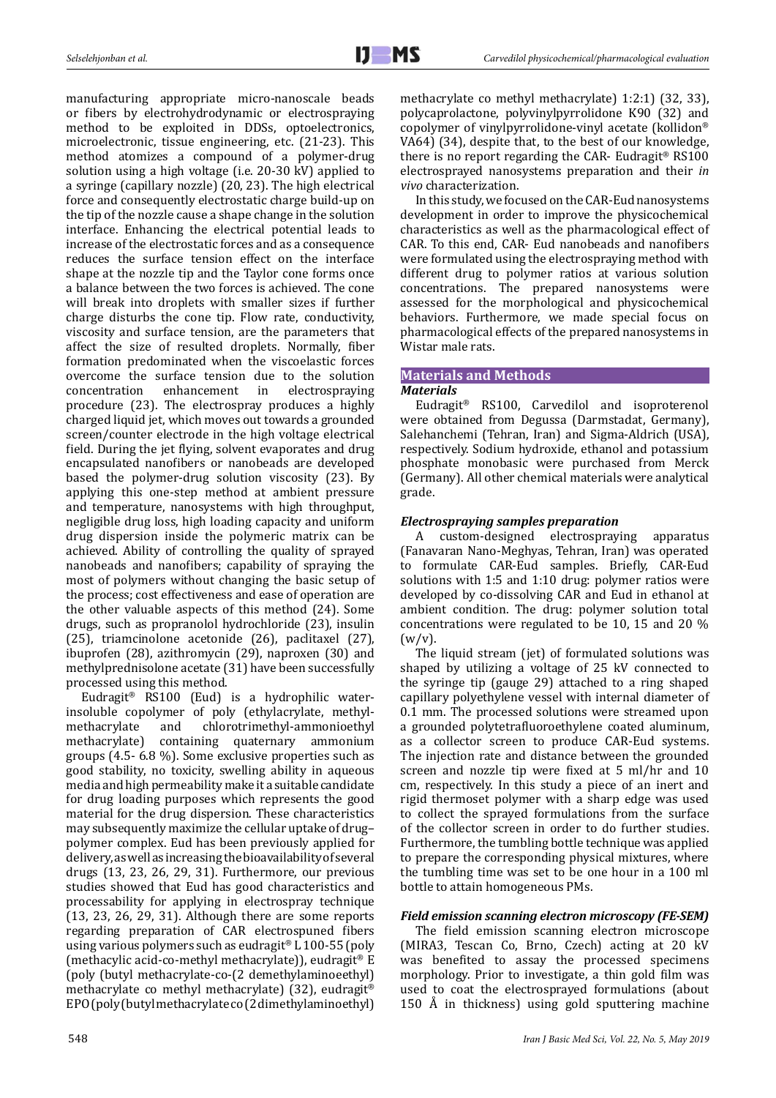manufacturing appropriate micro-nanoscale beads or fibers by electrohydrodynamic or electrospraying method to be exploited in DDSs, optoelectronics, microelectronic, tissue engineering, etc. (21-23). This method atomizes a compound of a polymer-drug solution using a high voltage (i.e. 20-30 kV) applied to a syringe (capillary nozzle) (20, 23). The high electrical force and consequently electrostatic charge build-up on the tip of the nozzle cause a shape change in the solution interface. Enhancing the electrical potential leads to increase of the electrostatic forces and as a consequence reduces the surface tension effect on the interface shape at the nozzle tip and the Taylor cone forms once a balance between the two forces is achieved. The cone will break into droplets with smaller sizes if further charge disturbs the cone tip. Flow rate, conductivity, viscosity and surface tension, are the parameters that affect the size of resulted droplets. Normally, fiber formation predominated when the viscoelastic forces overcome the surface tension due to the solution<br>concentration enhancement in electrospraying electrospraying procedure (23). The electrospray produces a highly charged liquid jet, which moves out towards a grounded screen/counter electrode in the high voltage electrical field. During the jet flying, solvent evaporates and drug encapsulated nanofibers or nanobeads are developed based the polymer-drug solution viscosity (23). By applying this one-step method at ambient pressure and temperature, nanosystems with high throughput, negligible drug loss, high loading capacity and uniform drug dispersion inside the polymeric matrix can be achieved. Ability of controlling the quality of sprayed nanobeads and nanofibers; capability of spraying the most of polymers without changing the basic setup of the process; cost effectiveness and ease of operation are the other valuable aspects of this method (24). Some drugs, such as propranolol hydrochloride (23), insulin (25), triamcinolone acetonide (26), paclitaxel (27), ibuprofen (28), azithromycin (29), naproxen (30) and methylprednisolone acetate (31) have been successfully processed using this method.

Eudragit® RS100 (Eud) is a hydrophilic waterinsoluble copolymer of poly (ethylacrylate, methylmethacrylate and chlorotrimethyl-ammonioethyl<br>methacrylate) containing quaternary ammonium containing quaternary ammonium groups (4.5- 6.8 %). Some exclusive properties such as good stability, no toxicity, swelling ability in aqueous media and high permeability make it a suitable candidate for drug loading purposes which represents the good material for the drug dispersion. These characteristics may subsequently maximize the cellular uptake of drug– polymer complex. Eud has been previously applied for delivery, as well as increasing the bioavailability of several drugs (13, 23, 26, 29, 31). Furthermore, our previous studies showed that Eud has good characteristics and processability for applying in electrospray technique (13, 23, 26, 29, 31). Although there are some reports regarding preparation of CAR electrospuned fibers using various polymers such as eudragit® L 100-55 (poly (methacylic acid-co-methyl methacrylate)), eudragit® E (poly (butyl methacrylate-co-(2 demethylaminoeethyl) methacrylate co methyl methacrylate) (32), eudragit® EPO (poly (butyl methacrylate co (2 dimethylaminoethyl)

methacrylate co methyl methacrylate) 1:2:1) (32, 33), polycaprolactone, polyvinylpyrrolidone K90 (32) and copolymer of vinylpyrrolidone-vinyl acetate (kollidon® VA64) (34), despite that, to the best of our knowledge, there is no report regarding the CAR- Eudragit® RS100 electrosprayed nanosystems preparation and their *in vivo* characterization.

In this study, we focused on the CAR-Eud nanosystems development in order to improve the physicochemical characteristics as well as the pharmacological effect of CAR. To this end, CAR- Eud nanobeads and nanofibers were formulated using the electrospraying method with different drug to polymer ratios at various solution concentrations. The prepared nanosystems were assessed for the morphological and physicochemical behaviors. Furthermore, we made special focus on pharmacological effects of the prepared nanosystems in Wistar male rats.

# **Materials and Methods** *Materials*

Eudragit® RS100, Carvedilol and isoproterenol were obtained from Degussa (Darmstadat, Germany), Salehanchemi (Tehran, Iran) and Sigma-Aldrich (USA), respectively. Sodium hydroxide, ethanol and potassium phosphate monobasic were purchased from Merck (Germany). All other chemical materials were analytical grade.

# *Electrospraying samples preparation*

A custom-designed electrospraying apparatus (Fanavaran Nano-Meghyas, Tehran, Iran) was operated to formulate CAR-Eud samples. Briefly, CAR-Eud solutions with 1:5 and 1:10 drug: polymer ratios were developed by co-dissolving CAR and Eud in ethanol at ambient condition. The drug: polymer solution total concentrations were regulated to be 10, 15 and 20 %  $(w/v)$ .

The liquid stream (jet) of formulated solutions was shaped by utilizing a voltage of 25 kV connected to the syringe tip (gauge 29) attached to a ring shaped capillary polyethylene vessel with internal diameter of 0.1 mm. The processed solutions were streamed upon a grounded polytetrafluoroethylene coated aluminum, as a collector screen to produce CAR-Eud systems. The injection rate and distance between the grounded screen and nozzle tip were fixed at 5 ml/hr and 10 cm, respectively. In this study a piece of an inert and rigid thermoset polymer with a sharp edge was used to collect the sprayed formulations from the surface of the collector screen in order to do further studies. Furthermore, the tumbling bottle technique was applied to prepare the corresponding physical mixtures, where the tumbling time was set to be one hour in a 100 ml bottle to attain homogeneous PMs.

# *Field emission scanning electron microscopy (FE-SEM)*

The field emission scanning electron microscope (MIRA3, Tescan Co, Brno, Czech) acting at 20 kV was benefited to assay the processed specimens morphology. Prior to investigate, a thin gold film was used to coat the electrosprayed formulations (about 150 Å in thickness) using gold sputtering machine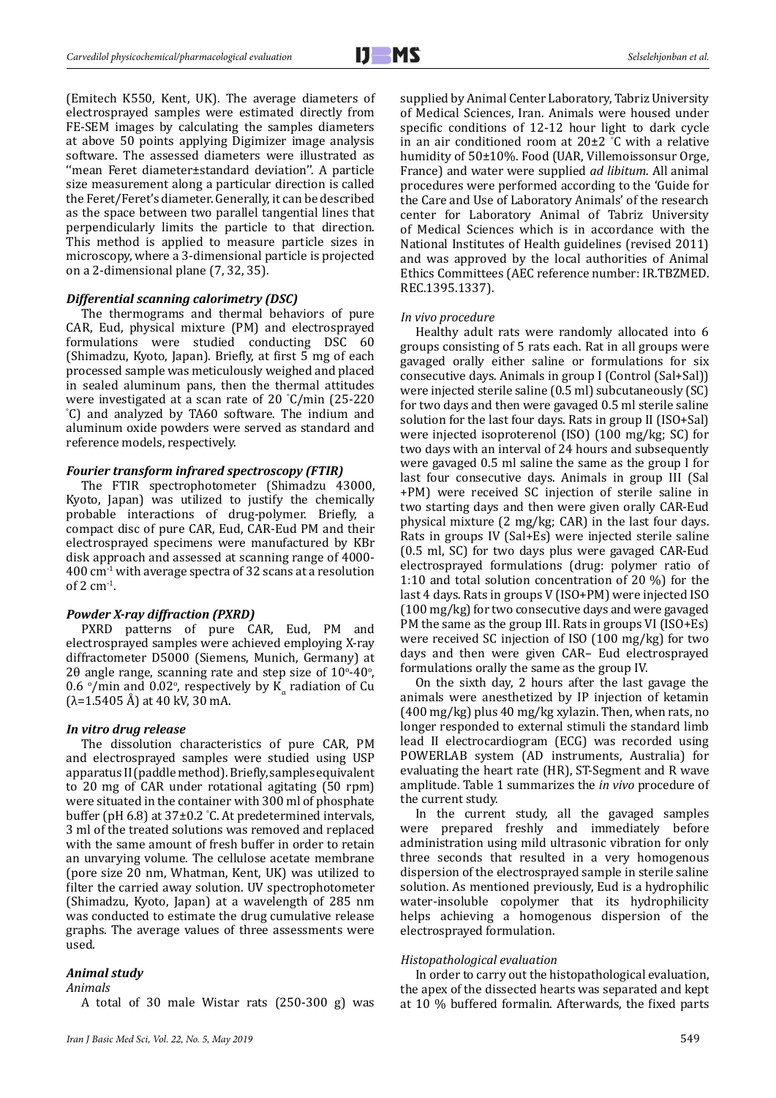(Emitech K550, Kent, UK). The average diameters of electrosprayed samples were estimated directly from FE-SEM images by calculating the samples diameters at above 50 points applying Digimizer image analysis software. The assessed diameters were illustrated as ''mean Feret diameter±standard deviation''. A particle size measurement along a particular direction is called the Feret/Feret's diameter. Generally, it can be described as the space between two parallel tangential lines that perpendicularly limits the particle to that direction. This method is applied to measure particle sizes in microscopy, where a 3-dimensional particle is projected on a 2-dimensional plane (7, 32, 35).

### *Differential scanning calorimetry (DSC)*

The thermograms and thermal behaviors of pure CAR, Eud, physical mixture (PM) and electrosprayed formulations were studied conducting DSC 60 (Shimadzu, Kyoto, Japan). Briefly, at first 5 mg of each processed sample was meticulously weighed and placed in sealed aluminum pans, then the thermal attitudes were investigated at a scan rate of 20 °C/min (25-220 were investigated at a scan rate of 20 C/min (25-220<br>
<sup>o</sup>C) and analyzed by TA60 software. The indium and aluminum oxide powders were served as standard and reference models, respectively.

### *Fourier transform infrared spectroscopy (FTIR)*

The FTIR spectrophotometer (Shimadzu 43000, Kyoto, Japan) was utilized to justify the chemically probable interactions of drug-polymer. Briefly, a compact disc of pure CAR, Eud, CAR-Eud PM and their electrosprayed specimens were manufactured by KBr disk approach and assessed at scanning range of 4000- 400 cm-1 with average spectra of 32 scans at a resolution of  $2 \text{ cm}^{-1}$ .

### *Powder X-ray diffraction (PXRD)*

PXRD patterns of pure CAR, Eud, PM and electrosprayed samples were achieved employing X-ray diffractometer D5000 (Siemens, Munich, Germany) at 20 angle range, scanning rate and step size of  $10^{\circ}$ -40 $^{\circ}$ , 0.6  $\degree$ /min and 0.02 $\degree$ , respectively by K<sub>α</sub> radiation of Cu  $(λ=1.5405 Å)$  at 40 kV, 30 mA.

### *In vitro drug release*

The dissolution characteristics of pure CAR, PM and electrosprayed samples were studied using USP apparatus II (paddle method). Briefly, samples equivalent to 20 mg of CAR under rotational agitating (50 rpm) were situated in the container with 300 ml of phosphate buffer (pH 6.8) at 37±0.2 ° C. At predetermined intervals, 3 ml of the treated solutions was removed and replaced with the same amount of fresh buffer in order to retain an unvarying volume. The cellulose acetate membrane (pore size 20 nm, Whatman, Kent, UK) was utilized to filter the carried away solution. UV spectrophotometer (Shimadzu, Kyoto, Japan) at a wavelength of 285 nm was conducted to estimate the drug cumulative release graphs. The average values of three assessments were used.

## *Animal study*

*Animals*

A total of 30 male Wistar rats (250-300 g) was

supplied by Animal Center Laboratory, Tabriz University of Medical Sciences, Iran. Animals were housed under specific conditions of 12-12 hour light to dark cycle in an air conditioned room at 20±2 ° C with a relative humidity of 50±10%. Food (UAR, Villemoissonsur Orge, France) and water were supplied *ad libitum*. All animal procedures were performed according to the 'Guide for the Care and Use of Laboratory Animals' of the research center for Laboratory Animal of Tabriz University of Medical Sciences which is in accordance with the National Institutes of Health guidelines (revised 2011) and was approved by the local authorities of Animal Ethics Committees (AEC reference number: IR.TBZMED. REC.1395.1337).

#### *In vivo procedure*

Healthy adult rats were randomly allocated into 6 groups consisting of 5 rats each. Rat in all groups were gavaged orally either saline or formulations for six consecutive days. Animals in group I (Control (Sal+Sal)) were injected sterile saline (0.5 ml) subcutaneously (SC) for two days and then were gavaged 0.5 ml sterile saline solution for the last four days. Rats in group II (ISO+Sal) were injected isoproterenol (ISO) (100 mg/kg; SC) for two days with an interval of 24 hours and subsequently were gavaged 0.5 ml saline the same as the group I for last four consecutive days. Animals in group III (Sal +PM) were received SC injection of sterile saline in two starting days and then were given orally CAR-Eud physical mixture (2 mg/kg; CAR) in the last four days. Rats in groups IV (Sal+Es) were injected sterile saline (0.5 ml, SC) for two days plus were gavaged CAR-Eud electrosprayed formulations (drug: polymer ratio of 1:10 and total solution concentration of 20 %) for the last 4 days. Rats in groups V (ISO+PM) were injected ISO (100 mg/kg) for two consecutive days and were gavaged PM the same as the group III. Rats in groups VI (ISO+Es) were received SC injection of ISO (100 mg/kg) for two days and then were given CAR– Eud electrosprayed formulations orally the same as the group IV.

On the sixth day, 2 hours after the last gavage the animals were anesthetized by IP injection of ketamin (400 mg/kg) plus 40 mg/kg xylazin. Then, when rats, no longer responded to external stimuli the standard limb lead II electrocardiogram (ECG) was recorded using POWERLAB system (AD instruments, Australia) for evaluating the heart rate (HR), ST-Segment and R wave amplitude. Table 1 summarizes the *in vivo* procedure of the current study.

In the current study, all the gavaged samples were prepared freshly and immediately before administration using mild ultrasonic vibration for only three seconds that resulted in a very homogenous dispersion of the electrosprayed sample in sterile saline solution. As mentioned previously, Eud is a hydrophilic water-insoluble copolymer that its hydrophilicity helps achieving a homogenous dispersion of the electrosprayed formulation.

### *Histopathological evaluation*

In order to carry out the histopathological evaluation, the apex of the dissected hearts was separated and kept at 10 % buffered formalin. Afterwards, the fixed parts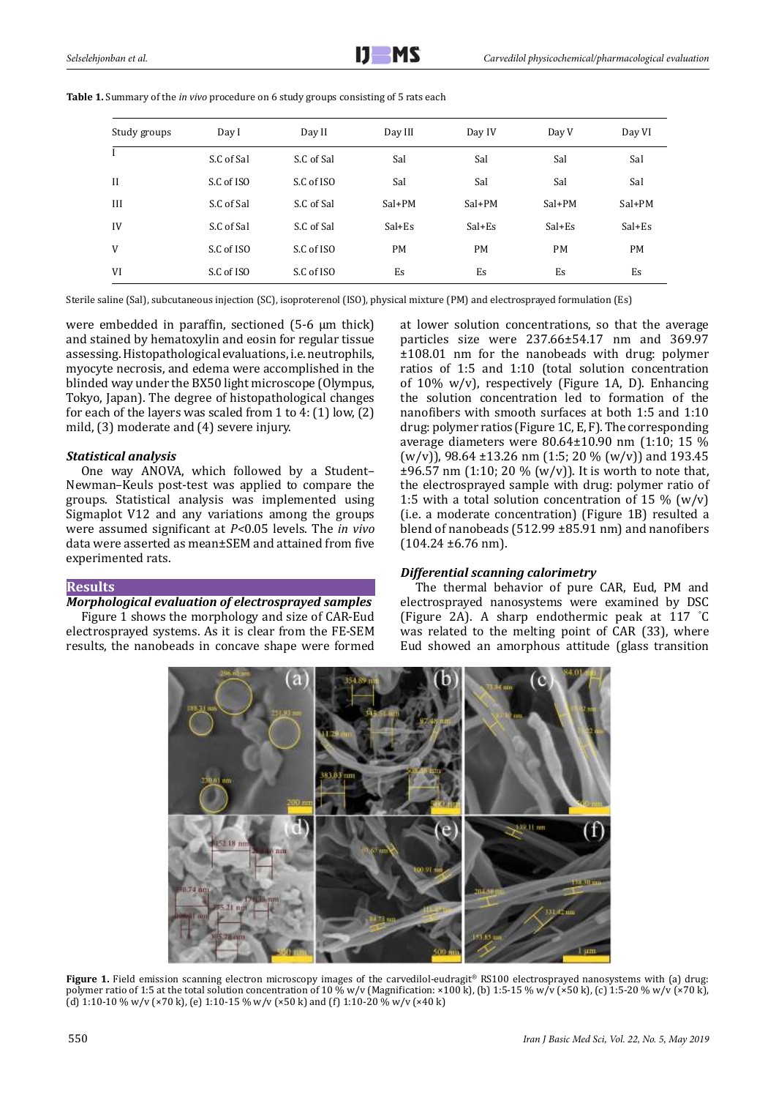| Study groups | Day I      | Day II     |           | Day IV    | Day V     | Day VI    |
|--------------|------------|------------|-----------|-----------|-----------|-----------|
|              | S.C of Sal | S.C of Sal | Sal       | Sal       | Sal       | Sal       |
| $\mathbf{I}$ | S.C of ISO | S.C of ISO | Sal       | Sal       | Sal       | Sal       |
| III          | S.C of Sal | S.C of Sal | $Sal+PM$  | $Sal+PM$  | $Sal+PM$  | Sal+PM    |
| IV           | S.C of Sal | S.C of Sal | $Sal+Es$  | $Sal+Es$  | $Sal+Es$  | $Sal+Es$  |
| V            | S.C of ISO | S.C of ISO | <b>PM</b> | <b>PM</b> | <b>PM</b> | <b>PM</b> |
| VI           | S.C of ISO | S.C of ISO | Es        | Es        | Es        | Es        |

**Table 1.** Summary of the *in vivo* procedure on 6 study groups consisting of 5 rats each

Sterile saline (Sal), subcutaneous injection (SC), isoproterenol (ISO), physical mixture (PM) and electrosprayed formulation (Es)

were embedded in paraffin, sectioned (5-6 μm thick) and stained by hematoxylin and eosin for regular tissue assessing. Histopathological evaluations, i.e. neutrophils, myocyte necrosis, and edema were accomplished in the blinded way under the BX50 light microscope (Olympus, Tokyo, Japan). The degree of histopathological changes for each of the layers was scaled from 1 to 4: (1) low, (2) mild, (3) moderate and (4) severe injury.

# *Statistical analysis*

One way ANOVA, which followed by a Student– Newman–Keuls post-test was applied to compare the groups. Statistical analysis was implemented using Sigmaplot V12 and any variations among the groups were assumed significant at *P<*0.05 levels. The *in vivo* data were asserted as mean±SEM and attained from five experimented rats.

# **Results**

# *Morphological evaluation of electrosprayed samples*

Figure 1 shows the morphology and size of CAR-Eud electrosprayed systems. As it is clear from the FE-SEM results, the nanobeads in concave shape were formed at lower solution concentrations, so that the average particles size were 237.66±54.17 nm and 369.97 ±108.01 nm for the nanobeads with drug: polymer ratios of 1:5 and 1:10 (total solution concentration of 10% w/v), respectively (Figure 1A, D). Enhancing the solution concentration led to formation of the nanofibers with smooth surfaces at both 1:5 and 1:10 drug: polymer ratios (Figure 1C, E, F). The corresponding average diameters were 80.64±10.90 nm (1:10; 15 %  $(w/v)$ , 98.64 ±13.26 nm (1:5; 20 %  $(w/v)$ ) and 193.45  $\pm 96.57$  nm (1:10; 20 % (w/v)). It is worth to note that, the electrosprayed sample with drug: polymer ratio of 1:5 with a total solution concentration of 15  $\%$  (w/v) (i.e. a moderate concentration) (Figure 1B) resulted a blend of nanobeads (512.99 ±85.91 nm) and nanofibers  $(104.24 \pm 6.76 \text{ nm}).$ 

# *Differential scanning calorimetry*

The thermal behavior of pure CAR, Eud, PM and electrosprayed nanosystems were examined by DSC (Figure 2A). A sharp endothermic peak at 117 ° C was related to the melting point of CAR (33), where Eud showed an amorphous attitude (glass transition



**Figure 1.** Field emission scanning electron microscopy images of the carvedilol-eudragit® RS100 electrosprayed nanosystems with (a) drug: polymer ratio of 1:5 at the total solution concentration of 10 % w/v (Magnification: ×100 k), (b) 1:5-15 % w/v (×50 k), (c) 1:5-20 % w/v (×70 k), (d) 1:10-10 % w/v (×70 k), (e) 1:10-15 % w/v (×50 k) and (f) 1:10-20 % w/v (×40 k)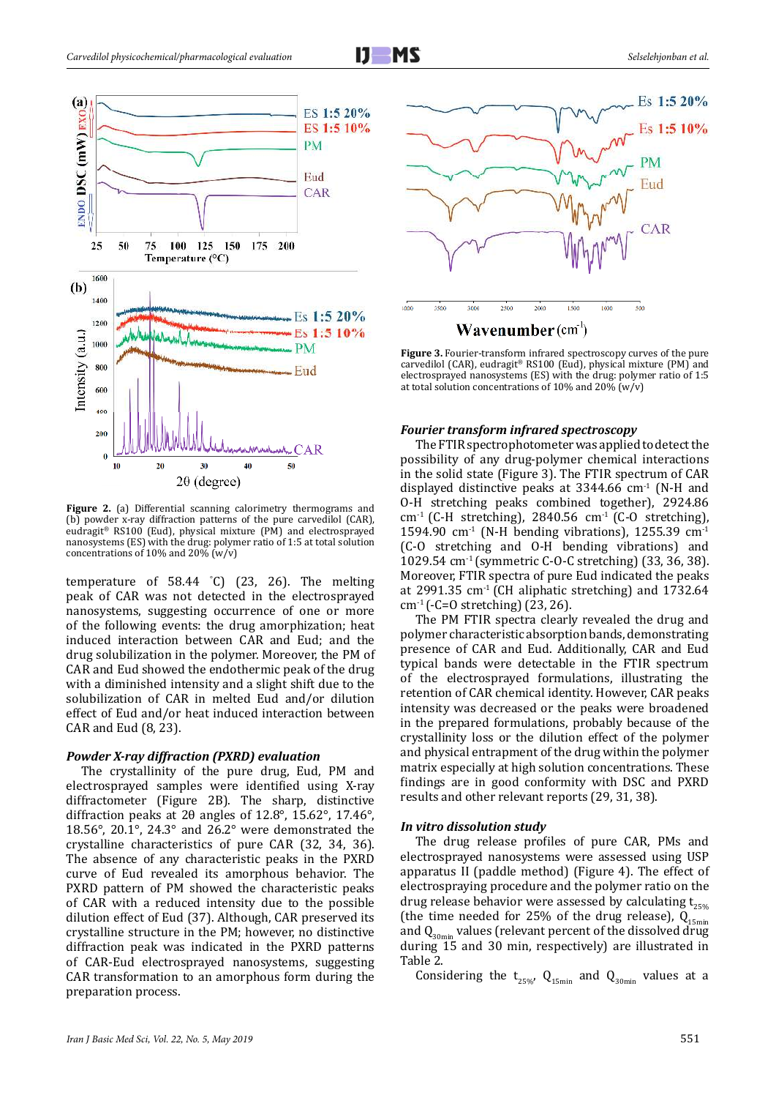

2 nanosystems (ES) with the drug: polymer ratio of 1:5 at total solution **Figure 2.** (a) Differential scanning calorimetry thermograms and (b) powder x-ray diffraction patterns of the pure carvedilol (CAR), eudragit® RS100 (Eud), physical mixture (PM) and electrosprayed concentrations of 10% and 20% (w/v)

temperature of 58.44 ° C) (23, 26). The melting peak of CAR was not detected in the electrosprayed nanosystems, suggesting occurrence of one or more of the following events: the drug amorphization; heat induced interaction between CAR and Eud; and the drug solubilization in the polymer. Moreover, the PM of CAR and Eud showed the endothermic peak of the drug with a diminished intensity and a slight shift due to the solubilization of CAR in melted Eud and/or dilution effect of Eud and/or heat induced interaction between CAR and Eud (8, 23).

## *Powder X-ray diffraction (PXRD) evaluation*

The crystallinity of the pure drug, Eud, PM and electrosprayed samples were identified using X-ray diffractometer (Figure 2B). The sharp, distinctive diffraction peaks at 2θ angles of 12.8°, 15.62°, 17.46°, 18.56°, 20.1°, 24.3° and 26.2° were demonstrated the crystalline characteristics of pure CAR (32, 34, 36). The absence of any characteristic peaks in the PXRD curve of Eud revealed its amorphous behavior. The PXRD pattern of PM showed the characteristic peaks of CAR with a reduced intensity due to the possible dilution effect of Eud (37). Although, CAR preserved its crystalline structure in the PM; however, no distinctive diffraction peak was indicated in the PXRD patterns of CAR-Eud electrosprayed nanosystems, suggesting CAR transformation to an amorphous form during the preparation process.



**Wavenumber** (cm')

**Figure 3.** Fourier-transform infrared spectroscopy curves of the pure carvedilol (CAR), eudragit® RS100 (Eud), physical mixture (PM) and electrosprayed nanosystems (ES) with the drug: polymer ratio of 1:5 at total solution concentrations of 10% and 20% ( $w/v$ )

## *Fourier transform infrared spectroscopy*

The FTIR spectrophotometer was applied to detect the possibility of any drug-polymer chemical interactions in the solid state (Figure 3). The FTIR spectrum of CAR displayed distinctive peaks at  $3344.66$  cm<sup>-1</sup> (N-H and O-H stretching peaks combined together), 2924.86 cm<sup>-1</sup> (C-H stretching), 2840.56 cm<sup>-1</sup> (C-O stretching), 1594.90 cm<sup>-1</sup> (N-H bending vibrations), 1255.39 cm<sup>-1</sup> (C-O stretching and O-H bending vibrations) and 1029.54 cm-1 (symmetric C-O-C stretching) (33, 36, 38). Moreover, FTIR spectra of pure Eud indicated the peaks at 2991.35  $cm<sup>-1</sup>$  (CH aliphatic stretching) and 1732.64 cm-1 (-C=O stretching) (23, 26).

The PM FTIR spectra clearly revealed the drug and polymer characteristic absorption bands, demonstrating presence of CAR and Eud. Additionally, CAR and Eud typical bands were detectable in the FTIR spectrum of the electrosprayed formulations, illustrating the retention of CAR chemical identity. However, CAR peaks intensity was decreased or the peaks were broadened in the prepared formulations, probably because of the crystallinity loss or the dilution effect of the polymer and physical entrapment of the drug within the polymer matrix especially at high solution concentrations. These findings are in good conformity with DSC and PXRD results and other relevant reports (29, 31, 38).

### *In vitro dissolution study*

The drug release profiles of pure CAR, PMs and electrosprayed nanosystems were assessed using USP apparatus II (paddle method) (Figure 4). The effect of electrospraying procedure and the polymer ratio on the drug release behavior were assessed by calculating  $t_{25\%}$ (the time needed for 25% of the drug release),  $Q_{15min}$ and  $Q_{30min}$  values (relevant percent of the dissolved drug during 15 and 30 min, respectively) are illustrated in Table 2.

Considering the  $t_{25\%}$ ,  $Q_{15min}$  and  $Q_{30min}$  values at a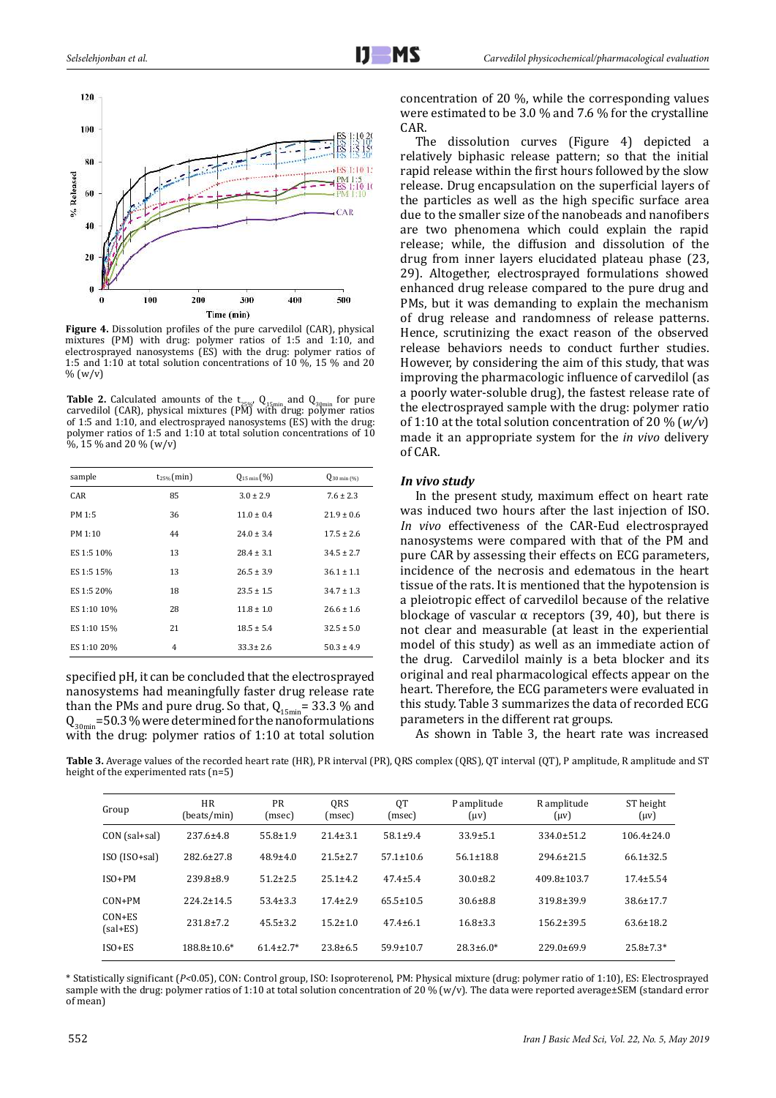

**Figure 4.** Dissolution profiles of the pure carvedilol (CAR), physical mixtures (PM) with drug: polymer ratios of 1:5 and 1:10, and electrosprayed nanosystems (ES) with the drug: polymer ratios of 1:5 and 1:10 at total solution concentrations of 10 %, 15 % and 20  $% (w/v)$ 

**Table 2.** Calculated amounts of the  $t_{25\%}$ ,  $Q_{15min}$  and  $Q_{30min}$  for pure carvedilol (CAR), physical mixtures (PM) with drug: polymer ratios of 1:5 and 1:10, and electrosprayed nanosystems (ES) with the drug: polymer ratios of 1:5 and 1:10 at total solution concentrations of 10 %, 15 % and 20 % (w/v)

| sample      | $t_{25\%}$ (min) | $Q_{15 \min}$ (%) | $Q_{30 \min (%)}$ |
|-------------|------------------|-------------------|-------------------|
| <b>CAR</b>  | 85               | $3.0 \pm 2.9$     | $7.6 \pm 2.3$     |
| PM 1:5      | 36               | $11.0 \pm 0.4$    | $21.9 \pm 0.6$    |
| PM 1:10     | 44               | $24.0 \pm 3.4$    | $17.5 \pm 2.6$    |
| ES 1:5 10%  | 13               | $28.4 \pm 3.1$    | $34.5 \pm 2.7$    |
| ES 1:5 15%  | 13               | $26.5 \pm 3.9$    | $36.1 \pm 1.1$    |
| ES 1:5 20%  | 18               | $23.5 \pm 1.5$    | $34.7 \pm 1.3$    |
| ES 1:10 10% | 28               | $11.8 \pm 1.0$    | $26.6 \pm 1.6$    |
| ES 1:10 15% | 21               | $18.5 \pm 5.4$    | $32.5 \pm 5.0$    |
| ES 1:10 20% | 4                | $33.3 \pm 2.6$    | $50.3 \pm 4.9$    |

specified pH, it can be concluded that the electrosprayed nanosystems had meaningfully faster drug release rate than the PMs and pure drug. So that,  $Q_{15min}$  = 33.3 % and  $Q_{30\text{min}}$ =50.3 % were determined for the nanoformulations with the drug: polymer ratios of 1:10 at total solution concentration of 20 %, while the corresponding values were estimated to be 3.0 % and 7.6 % for the crystalline CAR.

The dissolution curves (Figure 4) depicted a relatively biphasic release pattern; so that the initial rapid release within the first hours followed by the slow release. Drug encapsulation on the superficial layers of the particles as well as the high specific surface area due to the smaller size of the nanobeads and nanofibers are two phenomena which could explain the rapid release; while, the diffusion and dissolution of the drug from inner layers elucidated plateau phase (23, 29). Altogether, electrosprayed formulations showed enhanced drug release compared to the pure drug and PMs, but it was demanding to explain the mechanism of drug release and randomness of release patterns. Hence, scrutinizing the exact reason of the observed release behaviors needs to conduct further studies. However, by considering the aim of this study, that was improving the pharmacologic influence of carvedilol (as a poorly water-soluble drug), the fastest release rate of the electrosprayed sample with the drug: polymer ratio of 1:10 at the total solution concentration of 20 % (*w/v*) made it an appropriate system for the *in vivo* delivery of CAR.

# *In vivo study*

In the present study, maximum effect on heart rate was induced two hours after the last injection of ISO. *In vivo* effectiveness of the CAR-Eud electrosprayed nanosystems were compared with that of the PM and pure CAR by assessing their effects on ECG parameters, incidence of the necrosis and edematous in the heart tissue of the rats. It is mentioned that the hypotension is a pleiotropic effect of carvedilol because of the relative blockage of vascular  $\alpha$  receptors (39, 40), but there is not clear and measurable (at least in the experiential model of this study) as well as an immediate action of the drug. Carvedilol mainly is a beta blocker and its original and real pharmacological effects appear on the heart. Therefore, the ECG parameters were evaluated in this study. Table 3 summarizes the data of recorded ECG parameters in the different rat groups.

As shown in Table 3, the heart rate was increased

**Table 3.** Average values of the recorded heart rate (HR), PR interval (PR), QRS complex (QRS), QT interval (QT), P amplitude, R amplitude and ST height of the experimented rats (n=5)

| Group                    | <b>HR</b><br>(beats/min) | <b>PR</b><br>(msec) | QRS<br>(msec)  | QT<br>(msec)    | P amplitude<br>$(\mu v)$ | R amplitude<br>$(\mu v)$ | ST height<br>$(\mu v)$ |
|--------------------------|--------------------------|---------------------|----------------|-----------------|--------------------------|--------------------------|------------------------|
| CON (sal+sal)            | $237.6 \pm 4.8$          | $55.8 \pm 1.9$      | $21.4 \pm 3.1$ | $58.1 \pm 9.4$  | $33.9 \pm 5.1$           | $334.0 \pm 51.2$         | $106.4 \pm 24.0$       |
| $ISO (ISO + sal)$        | $282.6 \pm 27.8$         | $48.9 \pm 4.0$      | $21.5 \pm 2.7$ | $57.1 \pm 10.6$ | $56.1 \pm 18.8$          | $294.6 \pm 21.5$         | $66.1 \pm 32.5$        |
| $ISO+PM$                 | $239.8 \pm 8.9$          | $51.2 \pm 2.5$      | $25.1 \pm 4.2$ | $47.4 \pm 5.4$  | $30.0 \pm 8.2$           | $409.8 \pm 103.7$        | $17.4 \pm 5.54$        |
| $CON+PM$                 | $224.2 \pm 14.5$         | $53.4 \pm 3.3$      | $17.4 \pm 2.9$ | $65.5 \pm 10.5$ | $30.6 \pm 8.8$           | $319.8 \pm 39.9$         | $38.6 \pm 17.7$        |
| $CON+ES$<br>$(sal + ES)$ | $231.8 \pm 7.2$          | $45.5 \pm 3.2$      | $15.2 \pm 1.0$ | $47.4 \pm 6.1$  | $16.8 \pm 3.3$           | $156.2 \pm 39.5$         | $63.6 \pm 18.2$        |
| $ISO+ES$                 | $188.8 \pm 10.6*$        | $61.4 \pm 2.7*$     | $23.8 \pm 6.5$ | $59.9 \pm 10.7$ | $28.3 \pm 6.0*$          | $229.0 \pm 69.9$         | $25.8 \pm 7.3*$        |

\* Statistically significant (*P<*0.05), CON: Control group, ISO: Isoproterenol, PM: Physical mixture (drug: polymer ratio of 1:10), ES: Electrosprayed sample with the drug: polymer ratios of 1:10 at total solution concentration of 20 % (w/v). The data were reported average±SEM (standard error of mean)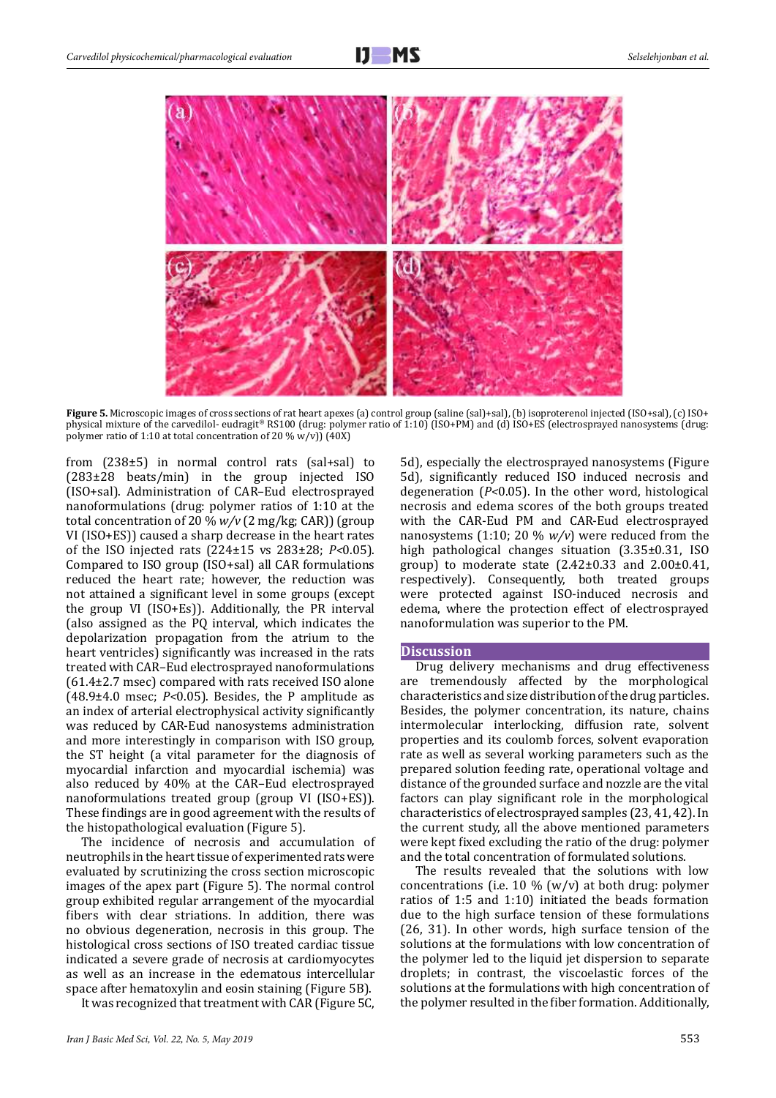

**Figure 5.** Microscopic images of cross sections of rat heart apexes (a) control group (saline (sal)+sal), (b) isoproterenol injected (ISO+sal), (c) ISO+ physical mixture of the carvedilol- eudragit® RS100 (drug: polymer ratio of 1:10) (ISO+PM) and (d) ISO+ES (electrosprayed nanosystems (drug: polymer ratio of 1:10 at total concentration of 20 % w/v)) (40X)

from (238±5) in normal control rats (sal+sal) to (283±28 beats/min) in the group injected ISO (ISO+sal). Administration of CAR–Eud electrosprayed nanoformulations (drug: polymer ratios of 1:10 at the total concentration of 20 % *w/v* (2 mg/kg; CAR)) (group VI (ISO+ES)) caused a sharp decrease in the heart rates of the ISO injected rats (224±15 vs 283±28; *P<*0.05). Compared to ISO group (ISO+sal) all CAR formulations reduced the heart rate; however, the reduction was not attained a significant level in some groups (except the group VI (ISO+Es)). Additionally, the PR interval (also assigned as the PQ interval, which indicates the depolarization propagation from the atrium to the heart ventricles) significantly was increased in the rats treated with CAR–Eud electrosprayed nanoformulations (61.4±2.7 msec) compared with rats received ISO alone (48.9±4.0 msec; *P<*0.05). Besides, the P amplitude as an index of arterial electrophysical activity significantly was reduced by CAR-Eud nanosystems administration and more interestingly in comparison with ISO group, the ST height (a vital parameter for the diagnosis of myocardial infarction and myocardial ischemia) was also reduced by 40% at the CAR–Eud electrosprayed nanoformulations treated group (group VI (ISO+ES)). These findings are in good agreement with the results of the histopathological evaluation (Figure 5).

The incidence of necrosis and accumulation of neutrophils in the heart tissue of experimented rats were evaluated by scrutinizing the cross section microscopic images of the apex part (Figure 5). The normal control group exhibited regular arrangement of the myocardial fibers with clear striations. In addition, there was no obvious degeneration, necrosis in this group. The histological cross sections of ISO treated cardiac tissue indicated a severe grade of necrosis at cardiomyocytes as well as an increase in the edematous intercellular space after hematoxylin and eosin staining (Figure 5B).

It was recognized that treatment with CAR (Figure 5C,

5d), especially the electrosprayed nanosystems (Figure 5d), significantly reduced ISO induced necrosis and degeneration (*P<*0.05). In the other word, histological necrosis and edema scores of the both groups treated with the CAR-Eud PM and CAR-Eud electrosprayed nanosystems (1:10; 20 % *w/v*) were reduced from the high pathological changes situation (3.35±0.31, ISO group) to moderate state  $(2.42\pm0.33$  and  $2.00\pm0.41$ , respectively). Consequently, both treated groups were protected against ISO-induced necrosis and edema, where the protection effect of electrosprayed nanoformulation was superior to the PM.

## **Discussion**

Drug delivery mechanisms and drug effectiveness are tremendously affected by the morphological characteristics and size distribution of the drug particles. Besides, the polymer concentration, its nature, chains intermolecular interlocking, diffusion rate, solvent properties and its coulomb forces, solvent evaporation rate as well as several working parameters such as the prepared solution feeding rate, operational voltage and distance of the grounded surface and nozzle are the vital factors can play significant role in the morphological characteristics of electrosprayed samples (23, 41, 42). In the current study, all the above mentioned parameters were kept fixed excluding the ratio of the drug: polymer and the total concentration of formulated solutions.

The results revealed that the solutions with low concentrations (i.e. 10 % (w/v) at both drug: polymer ratios of 1:5 and 1:10) initiated the beads formation due to the high surface tension of these formulations (26, 31). In other words, high surface tension of the solutions at the formulations with low concentration of the polymer led to the liquid jet dispersion to separate droplets; in contrast, the viscoelastic forces of the solutions at the formulations with high concentration of the polymer resulted in the fiber formation. Additionally,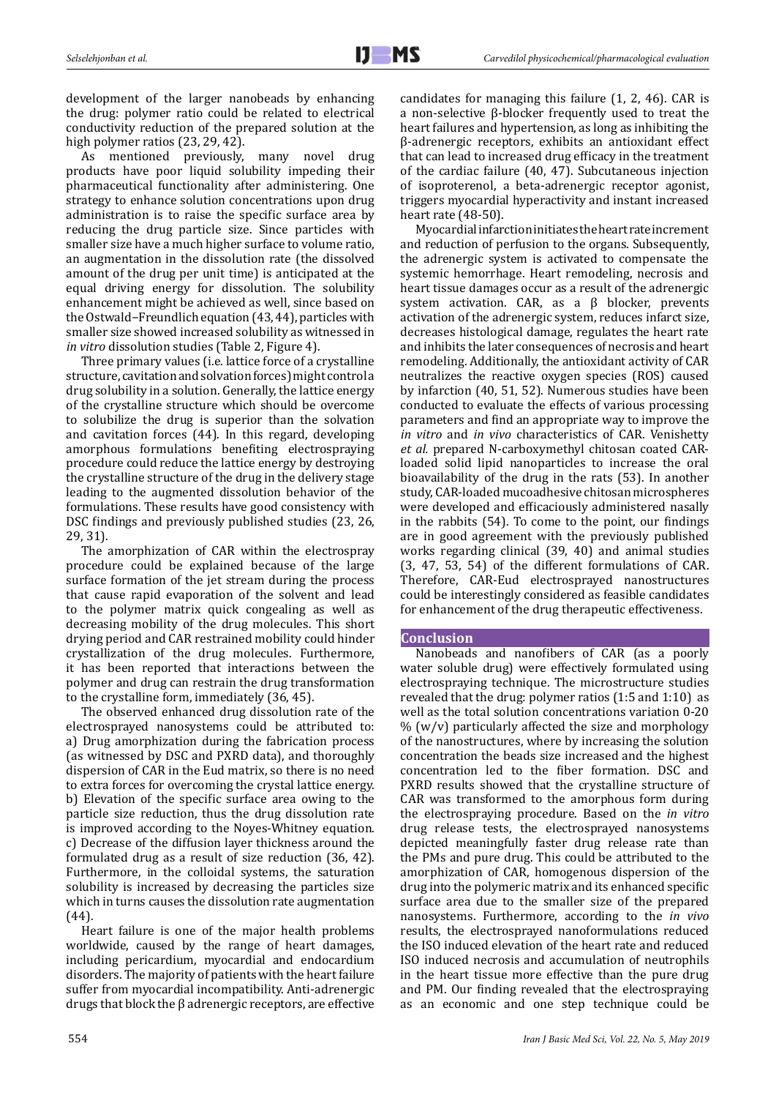development of the larger nanobeads by enhancing the drug: polymer ratio could be related to electrical conductivity reduction of the prepared solution at the high polymer ratios (23, 29, 42).

As mentioned previously, many novel drug products have poor liquid solubility impeding their pharmaceutical functionality after administering. One strategy to enhance solution concentrations upon drug administration is to raise the specific surface area by reducing the drug particle size. Since particles with smaller size have a much higher surface to volume ratio, an augmentation in the dissolution rate (the dissolved amount of the drug per unit time) is anticipated at the equal driving energy for dissolution. The solubility enhancement might be achieved as well, since based on the Ostwald−Freundlich equation (43, 44), particles with smaller size showed increased solubility as witnessed in *in vitro* dissolution studies (Table 2, Figure 4).

Three primary values (i.e. lattice force of a crystalline structure, cavitation and solvation forces) might control a drug solubility in a solution. Generally, the lattice energy of the crystalline structure which should be overcome to solubilize the drug is superior than the solvation and cavitation forces (44). In this regard, developing amorphous formulations benefiting electrospraying procedure could reduce the lattice energy by destroying the crystalline structure of the drug in the delivery stage leading to the augmented dissolution behavior of the formulations. These results have good consistency with DSC findings and previously published studies (23, 26, 29, 31).

The amorphization of CAR within the electrospray procedure could be explained because of the large surface formation of the jet stream during the process that cause rapid evaporation of the solvent and lead to the polymer matrix quick congealing as well as decreasing mobility of the drug molecules. This short drying period and CAR restrained mobility could hinder crystallization of the drug molecules. Furthermore, it has been reported that interactions between the polymer and drug can restrain the drug transformation to the crystalline form, immediately (36, 45).

The observed enhanced drug dissolution rate of the electrosprayed nanosystems could be attributed to: a) Drug amorphization during the fabrication process (as witnessed by DSC and PXRD data), and thoroughly dispersion of CAR in the Eud matrix, so there is no need to extra forces for overcoming the crystal lattice energy. b) Elevation of the specific surface area owing to the particle size reduction, thus the drug dissolution rate is improved according to the Noyes-Whitney equation. c) Decrease of the diffusion layer thickness around the formulated drug as a result of size reduction (36, 42). Furthermore, in the colloidal systems, the saturation solubility is increased by decreasing the particles size which in turns causes the dissolution rate augmentation (44).

Heart failure is one of the major health problems worldwide, caused by the range of heart damages, including pericardium, myocardial and endocardium disorders. The majority of patients with the heart failure suffer from myocardial incompatibility. Anti-adrenergic drugs that block the β adrenergic receptors, are effective candidates for managing this failure (1, 2, 46). CAR is a non-selective β-blocker frequently used to treat the heart failures and hypertension, as long as inhibiting the β-adrenergic receptors, exhibits an antioxidant effect that can lead to increased drug efficacy in the treatment of the cardiac failure (40, 47). Subcutaneous injection of isoproterenol, a beta-adrenergic receptor agonist, triggers myocardial hyperactivity and instant increased heart rate (48-50).

Myocardial infarction initiates the heart rate increment and reduction of perfusion to the organs. Subsequently, the adrenergic system is activated to compensate the systemic hemorrhage. Heart remodeling, necrosis and heart tissue damages occur as a result of the adrenergic system activation. CAR, as a  $β$  blocker, prevents activation of the adrenergic system, reduces infarct size, decreases histological damage, regulates the heart rate and inhibits the later consequences of necrosis and heart remodeling. Additionally, the antioxidant activity of CAR neutralizes the reactive oxygen species (ROS) caused by infarction (40, 51, 52). Numerous studies have been conducted to evaluate the effects of various processing parameters and find an appropriate way to improve the *in vitro* and *in vivo* characteristics of CAR. Venishetty *et al.* prepared N-carboxymethyl chitosan coated CARloaded solid lipid nanoparticles to increase the oral bioavailability of the drug in the rats (53). In another study, CAR-loaded mucoadhesive chitosan microspheres were developed and efficaciously administered nasally in the rabbits (54). To come to the point, our findings are in good agreement with the previously published works regarding clinical (39, 40) and animal studies (3, 47, 53, 54) of the different formulations of CAR. Therefore, CAR-Eud electrosprayed nanostructures could be interestingly considered as feasible candidates for enhancement of the drug therapeutic effectiveness.

## **Conclusion**

Nanobeads and nanofibers of CAR (as a poorly water soluble drug) were effectively formulated using electrospraying technique. The microstructure studies revealed that the drug: polymer ratios (1:5 and 1:10) as well as the total solution concentrations variation 0-20 % (w/v) particularly affected the size and morphology of the nanostructures, where by increasing the solution concentration the beads size increased and the highest concentration led to the fiber formation. DSC and PXRD results showed that the crystalline structure of CAR was transformed to the amorphous form during the electrospraying procedure. Based on the *in vitro* drug release tests, the electrosprayed nanosystems depicted meaningfully faster drug release rate than the PMs and pure drug. This could be attributed to the amorphization of CAR, homogenous dispersion of the drug into the polymeric matrix and its enhanced specific surface area due to the smaller size of the prepared nanosystems. Furthermore, according to the *in vivo* results, the electrosprayed nanoformulations reduced the ISO induced elevation of the heart rate and reduced ISO induced necrosis and accumulation of neutrophils in the heart tissue more effective than the pure drug and PM. Our finding revealed that the electrospraying as an economic and one step technique could be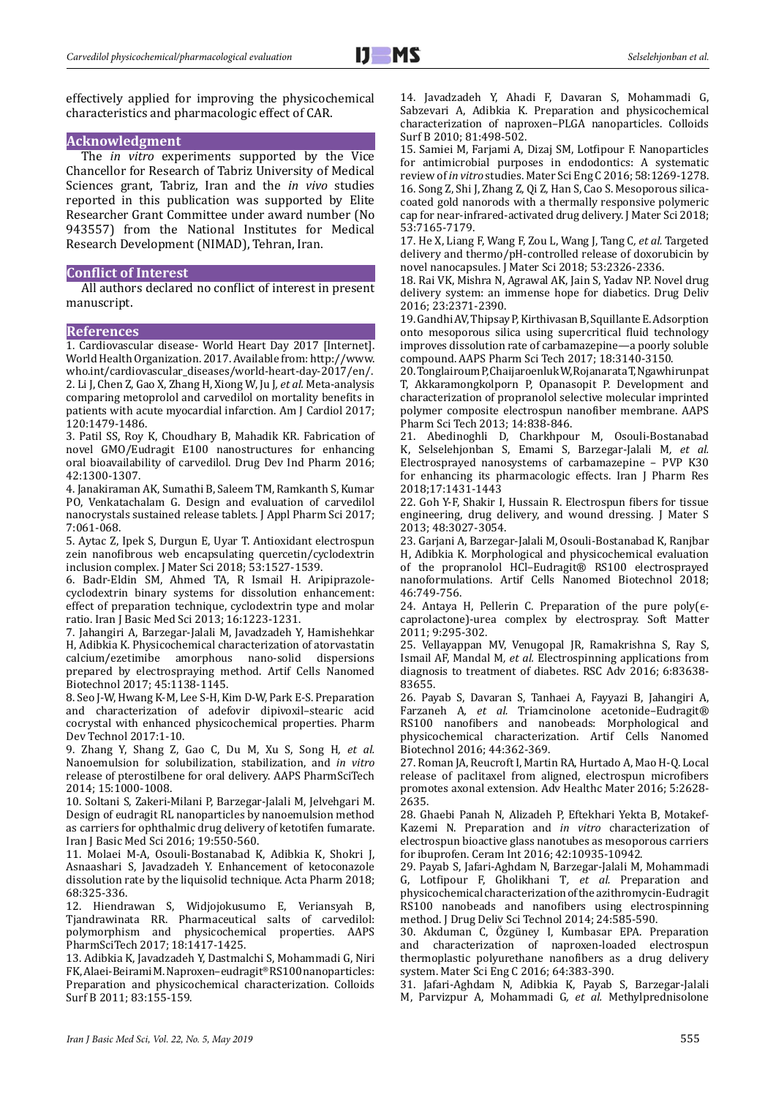effectively applied for improving the physicochemical characteristics and pharmacologic effect of CAR.

## **Acknowledgment**

The *in vitro* experiments supported by the Vice Chancellor for Research of Tabriz University of Medical Sciences grant, Tabriz, Iran and the *in vivo* studies reported in this publication was supported by Elite Researcher Grant Committee under award number (No 943557) from the National Institutes for Medical Research Development (NIMAD), Tehran, Iran.

## **Conflict of Interest**

All authors declared no conflict of interest in present manuscript.

## **References**

1. Cardiovascular disease- World Heart Day 2017 [Internet]. World Health Organization. 2017. Available from: http://www. who.int/cardiovascular\_diseases/world-heart-day-2017/en/. 2. Li J, Chen Z, Gao X, Zhang H, Xiong W, Ju J*, et al.* Meta-analysis comparing metoprolol and carvedilol on mortality benefits in patients with acute myocardial infarction. Am J Cardiol 2017; 120:1479-1486.

3. Patil SS, Roy K, Choudhary B, Mahadik KR. Fabrication of novel GMO/Eudragit E100 nanostructures for enhancing oral bioavailability of carvedilol. Drug Dev Ind Pharm 2016; 42:1300-1307.

4. Janakiraman AK, Sumathi B, Saleem TM, Ramkanth S, Kumar PO, Venkatachalam G. Design and evaluation of carvedilol nanocrystals sustained release tablets. J Appl Pharm Sci 2017; 7:061-068.

5. Aytac Z, Ipek S, Durgun E, Uyar T. Antioxidant electrospun zein nanofibrous web encapsulating quercetin/cyclodextrin inclusion complex. J Mater Sci 2018; 53:1527-1539.

6. Badr-Eldin SM, Ahmed TA, R Ismail H. Aripiprazolecyclodextrin binary systems for dissolution enhancement: effect of preparation technique, cyclodextrin type and molar ratio. Iran J Basic Med Sci 2013; 16:1223-1231.

7. Jahangiri A, Barzegar-Jalali M, Javadzadeh Y, Hamishehkar H, Adibkia K. Physicochemical characterization of atorvastatin calcium/ezetimibe amorphous nano-solid dispersions prepared by electrospraying method. Artif Cells Nanomed Biotechnol 2017; 45:1138-1145.

8. Seo J-W, Hwang K-M, Lee S-H, Kim D-W, Park E-S. Preparation and characterization of adefovir dipivoxil–stearic acid cocrystal with enhanced physicochemical properties. Pharm Dev Technol 2017:1-10.

9. Zhang Y, Shang Z, Gao C, Du M, Xu S, Song H*, et al.* Nanoemulsion for solubilization, stabilization, and *in vitro* release of pterostilbene for oral delivery. AAPS PharmSciTech 2014; 15:1000-1008.

10. Soltani S, Zakeri-Milani P, Barzegar-Jalali M, Jelvehgari M. Design of eudragit RL nanoparticles by nanoemulsion method as carriers for ophthalmic drug delivery of ketotifen fumarate. Iran J Basic Med Sci 2016; 19:550-560.

11. Molaei M-A, Osouli-Bostanabad K, Adibkia K, Shokri J, Asnaashari S, Javadzadeh Y. Enhancement of ketoconazole dissolution rate by the liquisolid technique. Acta Pharm 2018; 68:325-336.

12. Hiendrawan S, Widjojokusumo E, Veriansyah B, Tjandrawinata RR. Pharmaceutical salts of carvedilol: polymorphism and physicochemical properties. AAPS PharmSciTech 2017; 18:1417-1425.

13. Adibkia K, Javadzadeh Y, Dastmalchi S, Mohammadi G, Niri FK, Alaei-Beirami M. Naproxen–eudragit® RS100 nanoparticles: Preparation and physicochemical characterization. Colloids Surf B 2011; 83:155-159.

14. Javadzadeh Y, Ahadi F, Davaran S, Mohammadi G, Sabzevari A, Adibkia K. Preparation and physicochemical characterization of naproxen–PLGA nanoparticles. Colloids Surf B 2010; 81:498-502.

15. Samiei M, Farjami A, Dizaj SM, Lotfipour F. Nanoparticles for antimicrobial purposes in endodontics: A systematic review of *in vitro* studies. Mater Sci Eng C 2016; 58:1269-1278. 16. Song Z, Shi J, Zhang Z, Qi Z, Han S, Cao S. Mesoporous silicacoated gold nanorods with a thermally responsive polymeric cap for near-infrared-activated drug delivery. J Mater Sci 2018; 53:7165-7179.

17. He X, Liang F, Wang F, Zou L, Wang J, Tang C*, et al.* Targeted delivery and thermo/pH-controlled release of doxorubicin by novel nanocapsules. J Mater Sci 2018; 53:2326-2336.

18. Rai VK, Mishra N, Agrawal AK, Jain S, Yadav NP. Novel drug delivery system: an immense hope for diabetics. Drug Deliv 2016; 23:2371-2390.

19. Gandhi AV, Thipsay P, Kirthivasan B, Squillante E. Adsorption onto mesoporous silica using supercritical fluid technology improves dissolution rate of carbamazepine—a poorly soluble compound. AAPS Pharm Sci Tech 2017; 18:3140-3150.

20. Tonglairoum P, Chaijaroenluk W, Rojanarata T, Ngawhirunpat T, Akkaramongkolporn P, Opanasopit P. Development and characterization of propranolol selective molecular imprinted polymer composite electrospun nanofiber membrane. AAPS Pharm Sci Tech 2013; 14:838-846.

21. Abedinoghli D, Charkhpour M, Osouli-Bostanabad K, Selselehjonban S, Emami S, Barzegar-Jalali M*, et al.* Electrosprayed nanosystems of carbamazepine – PVP K30 for enhancing its pharmacologic effects. Iran J Pharm Res 2018;17:1431-1443

22. Goh Y-F, Shakir I, Hussain R. Electrospun fibers for tissue engineering, drug delivery, and wound dressing. J Mater S 2013; 48:3027-3054.

23. Garjani A, Barzegar-Jalali M, Osouli-Bostanabad K, Ranjbar H, Adibkia K. Morphological and physicochemical evaluation of the propranolol HCl–Eudragit® RS100 electrosprayed nanoformulations. Artif Cells Nanomed Biotechnol 2018; 46:749-756.

24. Antaya H, Pellerin C. Preparation of the pure poly $(e$ caprolactone)-urea complex by electrospray. Soft Matter 2011; 9:295-302.

25. Vellayappan MV, Venugopal JR, Ramakrishna S, Ray S, Ismail AF, Mandal M*, et al.* Electrospinning applications from diagnosis to treatment of diabetes. RSC Adv 2016; 6:83638- 83655.

26. Payab S, Davaran S, Tanhaei A, Fayyazi B, Jahangiri A, Farzaneh A*, et al.* Triamcinolone acetonide–Eudragit® RS100 nanofibers and nanobeads: Morphological and physicochemical characterization. Artif Cells Nanomed Biotechnol 2016; 44:362-369.

27. Roman JA, Reucroft I, Martin RA, Hurtado A, Mao H-Q. Local release of paclitaxel from aligned, electrospun microfibers promotes axonal extension. Adv Healthc Mater 2016; 5:2628- 2635.

28. Ghaebi Panah N, Alizadeh P, Eftekhari Yekta B, Motakef-Kazemi N. Preparation and *in vitro* characterization of electrospun bioactive glass nanotubes as mesoporous carriers for ibuprofen. Ceram Int 2016; 42:10935-10942.

29. Payab S, Jafari-Aghdam N, Barzegar-Jalali M, Mohammadi G, Lotfipour F, Gholikhani T*, et al.* Preparation and physicochemical characterization of the azithromycin-Eudragit RS100 nanobeads and nanofibers using electrospinning method. J Drug Deliv Sci Technol 2014; 24:585-590.

30. Akduman C, Özgüney I, Kumbasar EPA. Preparation and characterization of naproxen-loaded electrospun thermoplastic polyurethane nanofibers as a drug delivery system. Mater Sci Eng C 2016; 64:383-390.

31. Jafari-Aghdam N, Adibkia K, Payab S, Barzegar-Jalali M, Parvizpur A, Mohammadi G*, et al.* Methylprednisolone